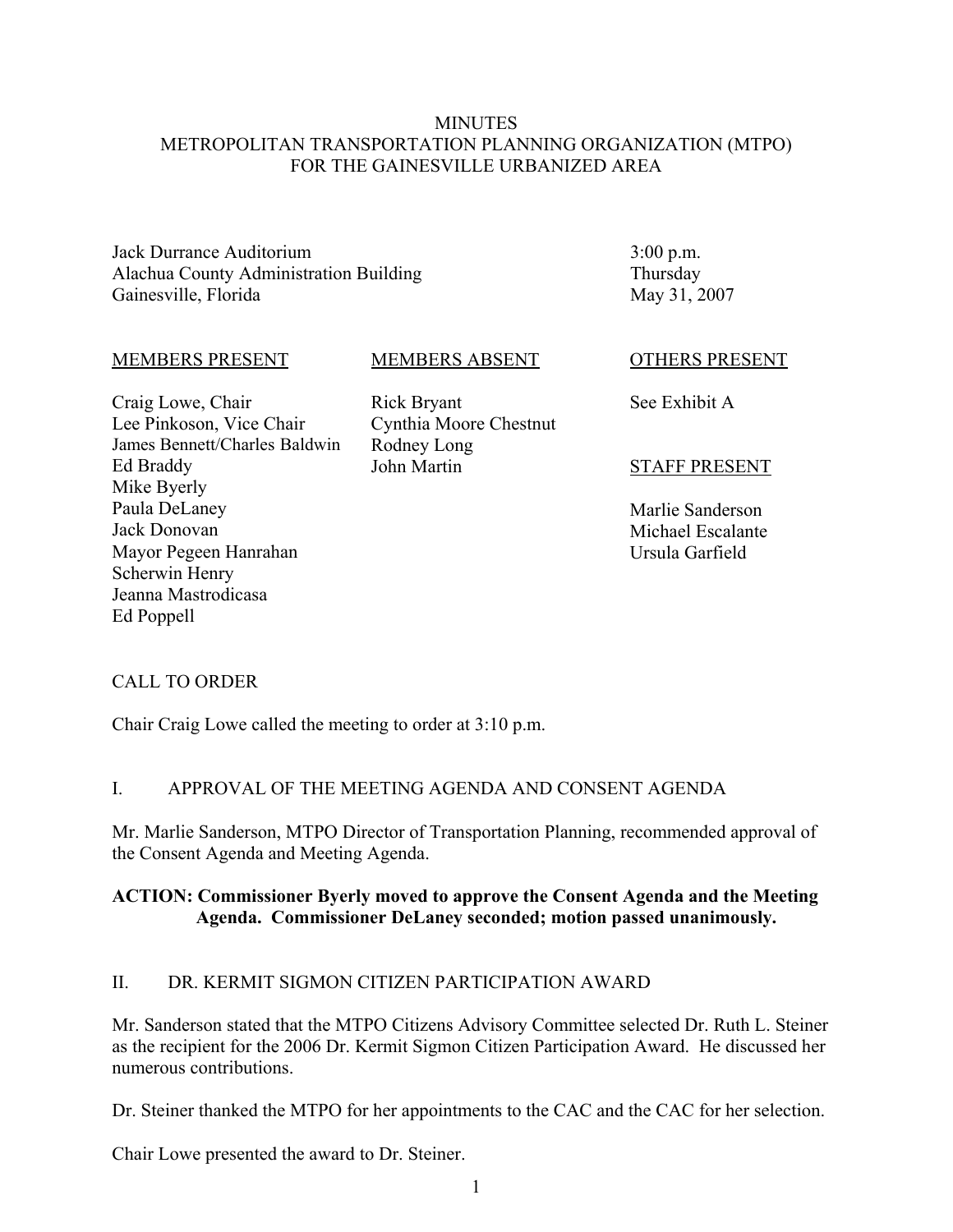#### **MINUTES** METROPOLITAN TRANSPORTATION PLANNING ORGANIZATION (MTPO) FOR THE GAINESVILLE URBANIZED AREA

Jack Durrance Auditorium Alachua County Administration Building Gainesville, Florida

3:00 p.m. Thursday May 31, 2007

#### MEMBERS PRESENT

#### MEMBERS ABSENT

Craig Lowe, Chair Lee Pinkoson, Vice Chair James Bennett/Charles Baldwin Ed Braddy Mike Byerly Paula DeLaney Jack Donovan Mayor Pegeen Hanrahan Scherwin Henry Jeanna Mastrodicasa Ed Poppell

Rick Bryant Cynthia Moore Chestnut Rodney Long John Martin

OTHERS PRESENT

See Exhibit A

#### STAFF PRESENT

Marlie Sanderson Michael Escalante Ursula Garfield

### CALL TO ORDER

Chair Craig Lowe called the meeting to order at 3:10 p.m.

#### I. APPROVAL OF THE MEETING AGENDA AND CONSENT AGENDA

Mr. Marlie Sanderson, MTPO Director of Transportation Planning, recommended approval of the Consent Agenda and Meeting Agenda.

#### **ACTION: Commissioner Byerly moved to approve the Consent Agenda and the Meeting Agenda. Commissioner DeLaney seconded; motion passed unanimously.**

#### II. DR. KERMIT SIGMON CITIZEN PARTICIPATION AWARD

Mr. Sanderson stated that the MTPO Citizens Advisory Committee selected Dr. Ruth L. Steiner as the recipient for the 2006 Dr. Kermit Sigmon Citizen Participation Award. He discussed her numerous contributions.

Dr. Steiner thanked the MTPO for her appointments to the CAC and the CAC for her selection.

Chair Lowe presented the award to Dr. Steiner.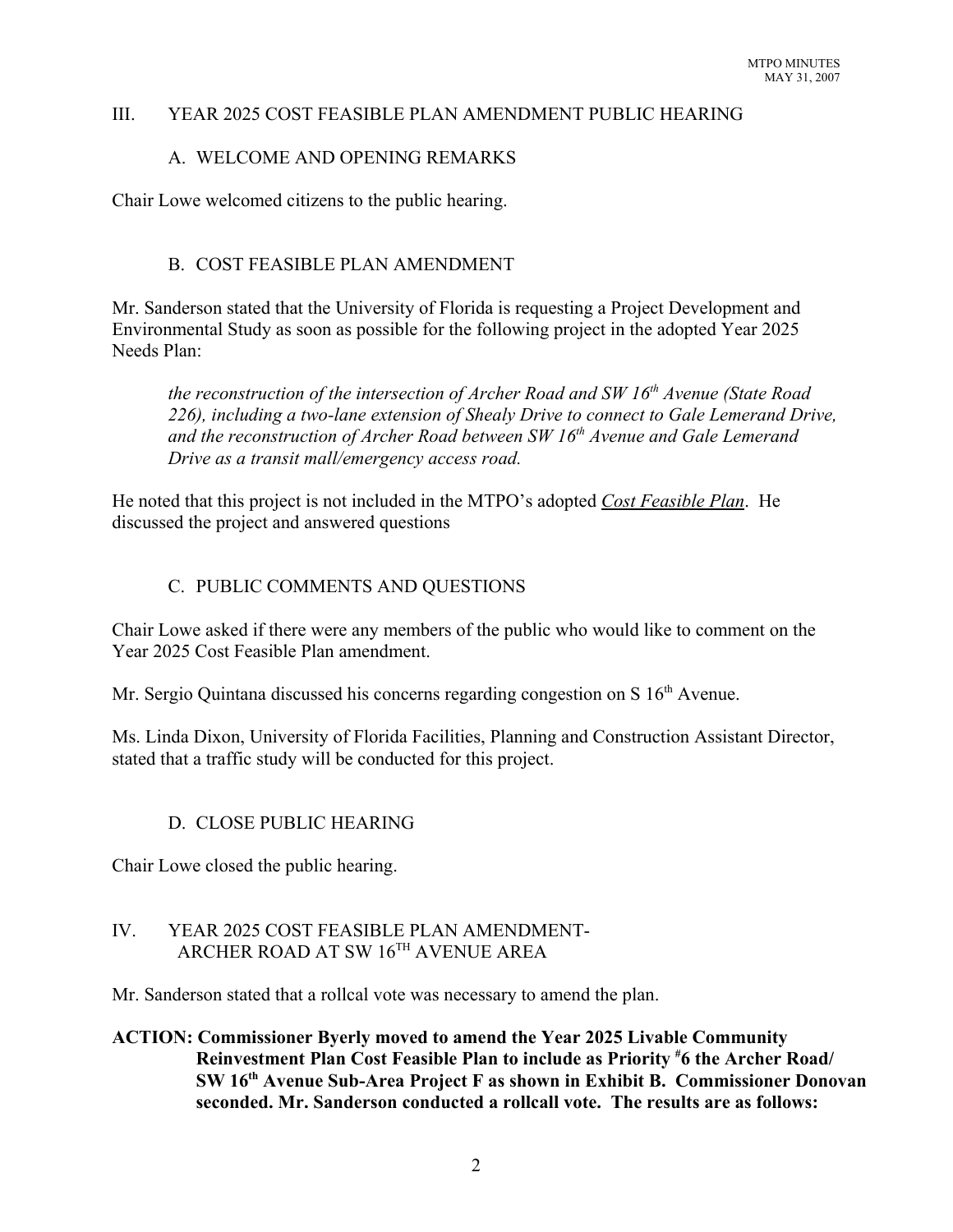#### III. YEAR 2025 COST FEASIBLE PLAN AMENDMENT PUBLIC HEARING

#### A. WELCOME AND OPENING REMARKS

Chair Lowe welcomed citizens to the public hearing.

#### B. COST FEASIBLE PLAN AMENDMENT

Mr. Sanderson stated that the University of Florida is requesting a Project Development and Environmental Study as soon as possible for the following project in the adopted Year 2025 Needs Plan:

*the reconstruction of the intersection of Archer Road and SW 16<sup>th</sup> Avenue (State Road 226), including a two-lane extension of Shealy Drive to connect to Gale Lemerand Drive,* and the reconstruction of Archer Road between SW 16<sup>th</sup> Avenue and Gale Lemerand *Drive as a transit mall/emergency access road.* 

He noted that this project is not included in the MTPO's adopted *Cost Feasible Plan*. He discussed the project and answered questions

### C. PUBLIC COMMENTS AND QUESTIONS

Chair Lowe asked if there were any members of the public who would like to comment on the Year 2025 Cost Feasible Plan amendment.

Mr. Sergio Quintana discussed his concerns regarding congestion on S 16<sup>th</sup> Avenue.

Ms. Linda Dixon, University of Florida Facilities, Planning and Construction Assistant Director, stated that a traffic study will be conducted for this project.

### D. CLOSE PUBLIC HEARING

Chair Lowe closed the public hearing.

#### IV. YEAR 2025 COST FEASIBLE PLAN AMENDMENT- ARCHER ROAD AT SW 16TH AVENUE AREA

Mr. Sanderson stated that a rollcal vote was necessary to amend the plan.

#### **ACTION: Commissioner Byerly moved to amend the Year 2025 Livable Community Reinvestment Plan Cost Feasible Plan to include as Priority # 6 the Archer Road/ SW 16th Avenue Sub-Area Project F as shown in Exhibit B. Commissioner Donovan seconded. Mr. Sanderson conducted a rollcall vote. The results are as follows:**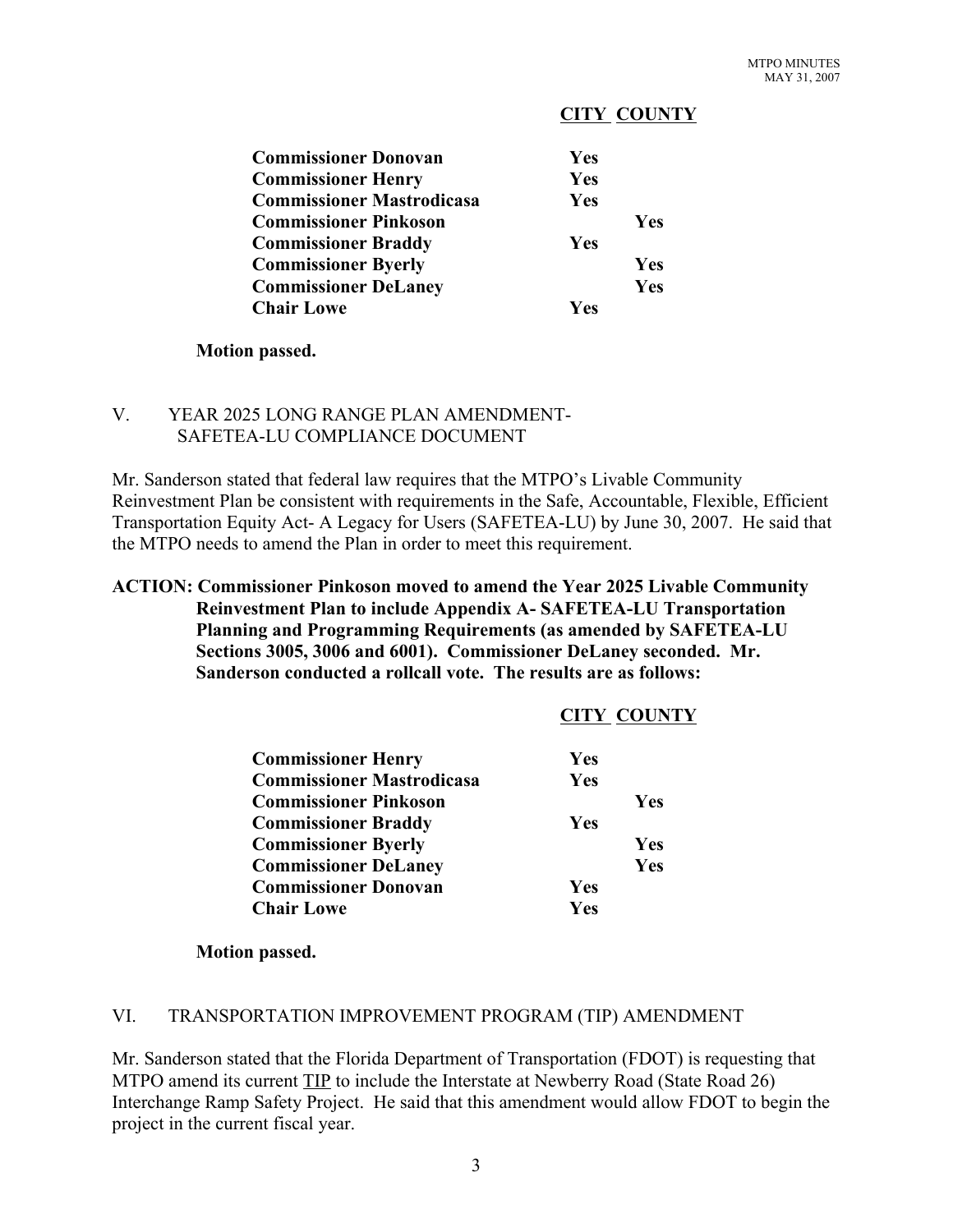#### **CITY COUNTY**

| <b>Commissioner Donovan</b>      | <b>Yes</b> |     |
|----------------------------------|------------|-----|
| <b>Commissioner Henry</b>        | Yes        |     |
| <b>Commissioner Mastrodicasa</b> | Yes        |     |
| <b>Commissioner Pinkoson</b>     |            | Yes |
| <b>Commissioner Braddy</b>       | <b>Yes</b> |     |
| <b>Commissioner Byerly</b>       |            | Yes |
| <b>Commissioner DeLaney</b>      |            | Yes |
| <b>Chair Lowe</b>                | <b>Ves</b> |     |

#### **Motion passed.**

#### V. YEAR 2025 LONG RANGE PLAN AMENDMENT- SAFETEA-LU COMPLIANCE DOCUMENT

Mr. Sanderson stated that federal law requires that the MTPO's Livable Community Reinvestment Plan be consistent with requirements in the Safe, Accountable, Flexible, Efficient Transportation Equity Act- A Legacy for Users (SAFETEA-LU) by June 30, 2007. He said that the MTPO needs to amend the Plan in order to meet this requirement.

#### **ACTION: Commissioner Pinkoson moved to amend the Year 2025 Livable Community Reinvestment Plan to include Appendix A- SAFETEA-LU Transportation Planning and Programming Requirements (as amended by SAFETEA-LU Sections 3005, 3006 and 6001). Commissioner DeLaney seconded. Mr. Sanderson conducted a rollcall vote. The results are as follows:**

|                                  | <b>CITY COUNTY</b> |
|----------------------------------|--------------------|
| <b>Commissioner Henry</b>        | Yes                |
| <b>Commissioner Mastrodicasa</b> | Yes                |
| <b>Commissioner Pinkoson</b>     | Yes                |
| <b>Commissioner Braddy</b>       | Yes                |
| <b>Commissioner Byerly</b>       | Yes                |
| <b>Commissioner DeLaney</b>      | Yes                |
| <b>Commissioner Donovan</b>      | Yes                |
| <b>Chair Lowe</b>                | Yes                |
|                                  |                    |

**Motion passed.**

#### VI. TRANSPORTATION IMPROVEMENT PROGRAM (TIP) AMENDMENT

Mr. Sanderson stated that the Florida Department of Transportation (FDOT) is requesting that MTPO amend its current TIP to include the Interstate at Newberry Road (State Road 26) Interchange Ramp Safety Project. He said that this amendment would allow FDOT to begin the project in the current fiscal year.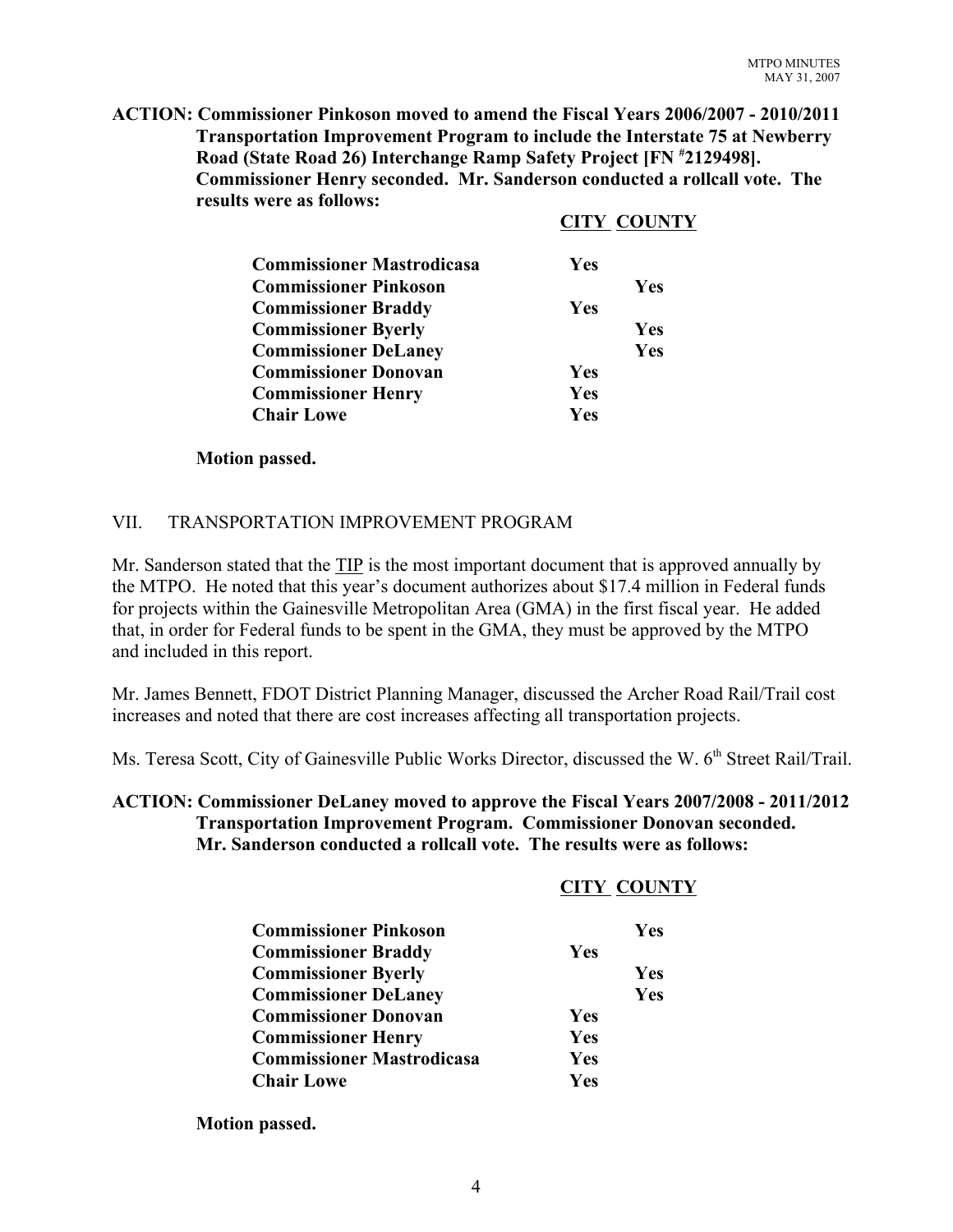**ACTION: Commissioner Pinkoson moved to amend the Fiscal Years 2006/2007 - 2010/2011 Transportation Improvement Program to include the Interstate 75 at Newberry Road (State Road 26) Interchange Ramp Safety Project [FN # 2129498]. Commissioner Henry seconded. Mr. Sanderson conducted a rollcall vote. The results were as follows:**

#### **CITY COUNTY**

| <b>Commissioner Mastrodicasa</b> | Yes |     |
|----------------------------------|-----|-----|
| <b>Commissioner Pinkoson</b>     |     | Yes |
| <b>Commissioner Braddy</b>       | Yes |     |
| <b>Commissioner Byerly</b>       |     | Yes |
| <b>Commissioner DeLaney</b>      |     | Yes |
| <b>Commissioner Donovan</b>      | Yes |     |
| <b>Commissioner Henry</b>        | Yes |     |
| <b>Chair Lowe</b>                | Yes |     |

#### **Motion passed.**

#### VII. TRANSPORTATION IMPROVEMENT PROGRAM

Mr. Sanderson stated that the TIP is the most important document that is approved annually by the MTPO. He noted that this year's document authorizes about \$17.4 million in Federal funds for projects within the Gainesville Metropolitan Area (GMA) in the first fiscal year. He added that, in order for Federal funds to be spent in the GMA, they must be approved by the MTPO and included in this report.

Mr. James Bennett, FDOT District Planning Manager, discussed the Archer Road Rail/Trail cost increases and noted that there are cost increases affecting all transportation projects.

Ms. Teresa Scott, City of Gainesville Public Works Director, discussed the W. 6<sup>th</sup> Street Rail/Trail.

#### **ACTION: Commissioner DeLaney moved to approve the Fiscal Years 2007/2008 - 2011/2012 Transportation Improvement Program. Commissioner Donovan seconded. Mr. Sanderson conducted a rollcall vote. The results were as follows:**

#### **CITY COUNTY**

| <b>Commissioner Pinkoson</b>     |            | <b>Yes</b> |
|----------------------------------|------------|------------|
| <b>Commissioner Braddy</b>       | <b>Yes</b> |            |
| <b>Commissioner Byerly</b>       |            | <b>Yes</b> |
| <b>Commissioner DeLaney</b>      |            | Yes        |
| <b>Commissioner Donovan</b>      | <b>Yes</b> |            |
| <b>Commissioner Henry</b>        | <b>Yes</b> |            |
| <b>Commissioner Mastrodicasa</b> | <b>Yes</b> |            |
| <b>Chair Lowe</b>                | Yes        |            |

**Motion passed.**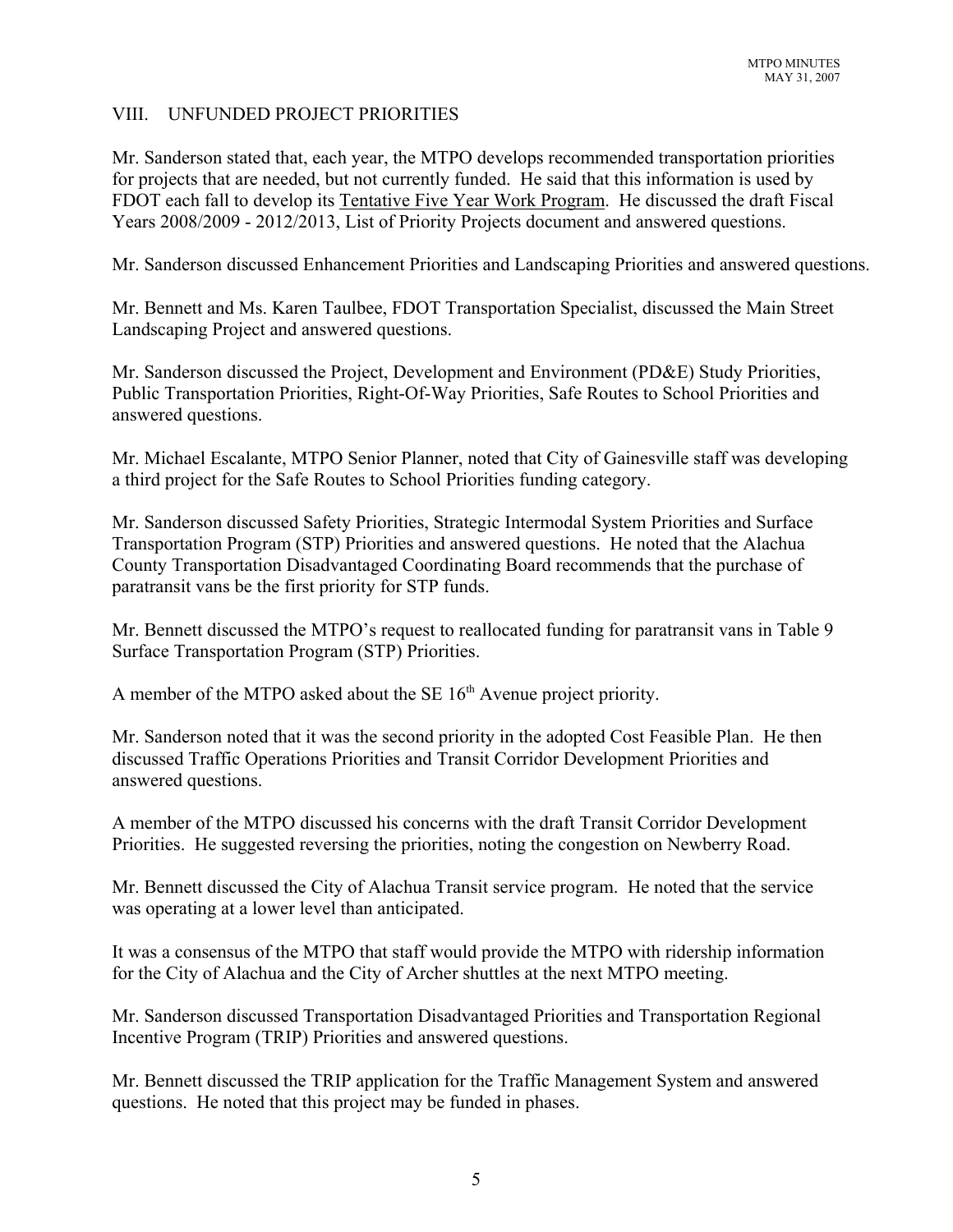#### VIII. UNFUNDED PROJECT PRIORITIES

Mr. Sanderson stated that, each year, the MTPO develops recommended transportation priorities for projects that are needed, but not currently funded. He said that this information is used by FDOT each fall to develop its Tentative Five Year Work Program. He discussed the draft Fiscal Years 2008/2009 - 2012/2013, List of Priority Projects document and answered questions.

Mr. Sanderson discussed Enhancement Priorities and Landscaping Priorities and answered questions.

Mr. Bennett and Ms. Karen Taulbee, FDOT Transportation Specialist, discussed the Main Street Landscaping Project and answered questions.

Mr. Sanderson discussed the Project, Development and Environment (PD&E) Study Priorities, Public Transportation Priorities, Right-Of-Way Priorities, Safe Routes to School Priorities and answered questions.

Mr. Michael Escalante, MTPO Senior Planner, noted that City of Gainesville staff was developing a third project for the Safe Routes to School Priorities funding category.

Mr. Sanderson discussed Safety Priorities, Strategic Intermodal System Priorities and Surface Transportation Program (STP) Priorities and answered questions. He noted that the Alachua County Transportation Disadvantaged Coordinating Board recommends that the purchase of paratransit vans be the first priority for STP funds.

Mr. Bennett discussed the MTPO's request to reallocated funding for paratransit vans in Table 9 Surface Transportation Program (STP) Priorities.

A member of the MTPO asked about the SE  $16<sup>th</sup>$  Avenue project priority.

Mr. Sanderson noted that it was the second priority in the adopted Cost Feasible Plan. He then discussed Traffic Operations Priorities and Transit Corridor Development Priorities and answered questions.

A member of the MTPO discussed his concerns with the draft Transit Corridor Development Priorities. He suggested reversing the priorities, noting the congestion on Newberry Road.

Mr. Bennett discussed the City of Alachua Transit service program. He noted that the service was operating at a lower level than anticipated.

It was a consensus of the MTPO that staff would provide the MTPO with ridership information for the City of Alachua and the City of Archer shuttles at the next MTPO meeting.

Mr. Sanderson discussed Transportation Disadvantaged Priorities and Transportation Regional Incentive Program (TRIP) Priorities and answered questions.

Mr. Bennett discussed the TRIP application for the Traffic Management System and answered questions. He noted that this project may be funded in phases.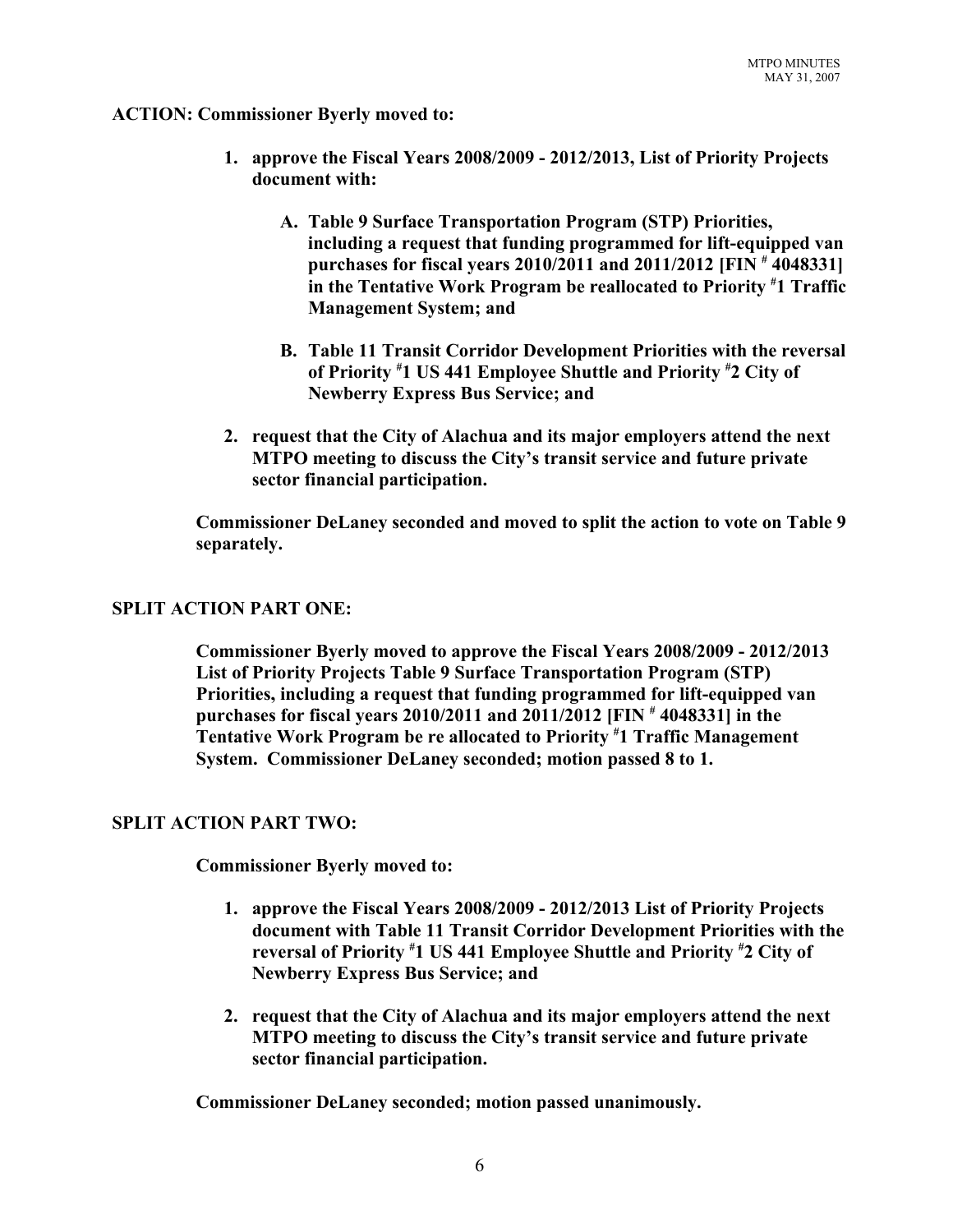#### **ACTION: Commissioner Byerly moved to:**

- **1. approve the Fiscal Years 2008/2009 2012/2013, List of Priority Projects document with:** 
	- **A. Table 9 Surface Transportation Program (STP) Priorities, including a request that funding programmed for lift-equipped van purchases for fiscal years 2010/2011 and 2011/2012 [FIN # 4048331] in the Tentative Work Program be reallocated to Priority # 1 Traffic Management System; and**
	- **B. Table 11 Transit Corridor Development Priorities with the reversal of Priority # 1 US 441 Employee Shuttle and Priority # 2 City of Newberry Express Bus Service; and**
- **2. request that the City of Alachua and its major employers attend the next MTPO meeting to discuss the City's transit service and future private sector financial participation.**

**Commissioner DeLaney seconded and moved to split the action to vote on Table 9 separately.**

#### **SPLIT ACTION PART ONE:**

**Commissioner Byerly moved to approve the Fiscal Years 2008/2009 - 2012/2013 List of Priority Projects Table 9 Surface Transportation Program (STP) Priorities, including a request that funding programmed for lift-equipped van purchases for fiscal years 2010/2011 and 2011/2012 [FIN # 4048331] in the Tentative Work Program be re allocated to Priority # 1 Traffic Management System. Commissioner DeLaney seconded; motion passed 8 to 1.**

#### **SPLIT ACTION PART TWO:**

**Commissioner Byerly moved to:**

- **1. approve the Fiscal Years 2008/2009 2012/2013 List of Priority Projects document with Table 11 Transit Corridor Development Priorities with the reversal of Priority # 1 US 441 Employee Shuttle and Priority # 2 City of Newberry Express Bus Service; and**
- **2. request that the City of Alachua and its major employers attend the next MTPO meeting to discuss the City's transit service and future private sector financial participation.**

**Commissioner DeLaney seconded; motion passed unanimously.**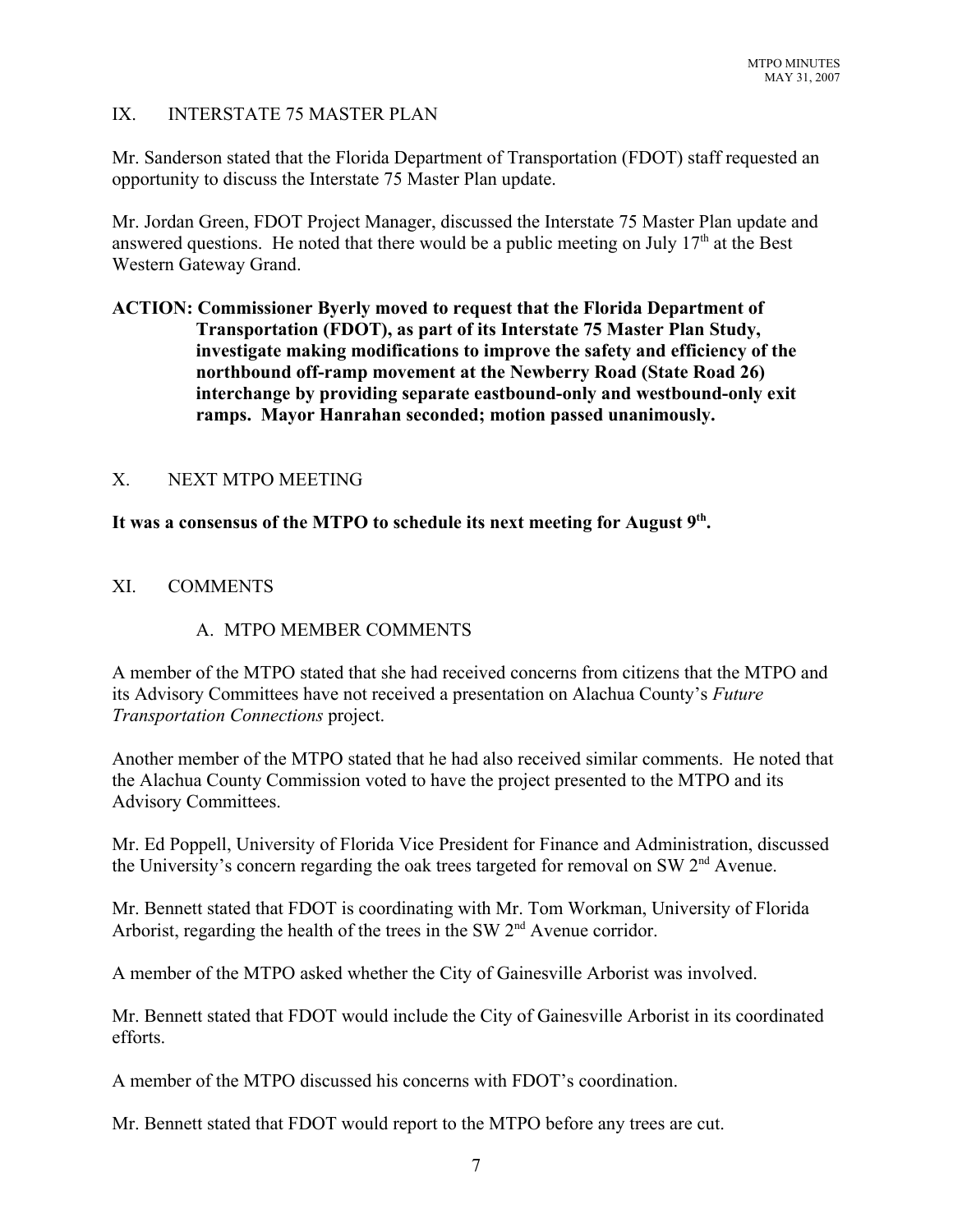#### IX. INTERSTATE 75 MASTER PLAN

Mr. Sanderson stated that the Florida Department of Transportation (FDOT) staff requested an opportunity to discuss the Interstate 75 Master Plan update.

Mr. Jordan Green, FDOT Project Manager, discussed the Interstate 75 Master Plan update and answered questions. He noted that there would be a public meeting on July  $17<sup>th</sup>$  at the Best Western Gateway Grand.

## **ACTION: Commissioner Byerly moved to request that the Florida Department of Transportation (FDOT), as part of its Interstate 75 Master Plan Study, investigate making modifications to improve the safety and efficiency of the northbound off-ramp movement at the Newberry Road (State Road 26) interchange by providing separate eastbound-only and westbound-only exit ramps. Mayor Hanrahan seconded; motion passed unanimously.**

#### X. NEXT MTPO MEETING

#### **It was a consensus of the MTPO to schedule its next meeting for August 9th.**

#### XI. COMMENTS

### A. MTPO MEMBER COMMENTS

A member of the MTPO stated that she had received concerns from citizens that the MTPO and its Advisory Committees have not received a presentation on Alachua County's *Future Transportation Connections* project.

Another member of the MTPO stated that he had also received similar comments. He noted that the Alachua County Commission voted to have the project presented to the MTPO and its Advisory Committees.

Mr. Ed Poppell, University of Florida Vice President for Finance and Administration, discussed the University's concern regarding the oak trees targeted for removal on SW  $2<sup>nd</sup>$  Avenue.

Mr. Bennett stated that FDOT is coordinating with Mr. Tom Workman, University of Florida Arborist, regarding the health of the trees in the SW 2<sup>nd</sup> Avenue corridor.

A member of the MTPO asked whether the City of Gainesville Arborist was involved.

Mr. Bennett stated that FDOT would include the City of Gainesville Arborist in its coordinated efforts.

A member of the MTPO discussed his concerns with FDOT's coordination.

Mr. Bennett stated that FDOT would report to the MTPO before any trees are cut.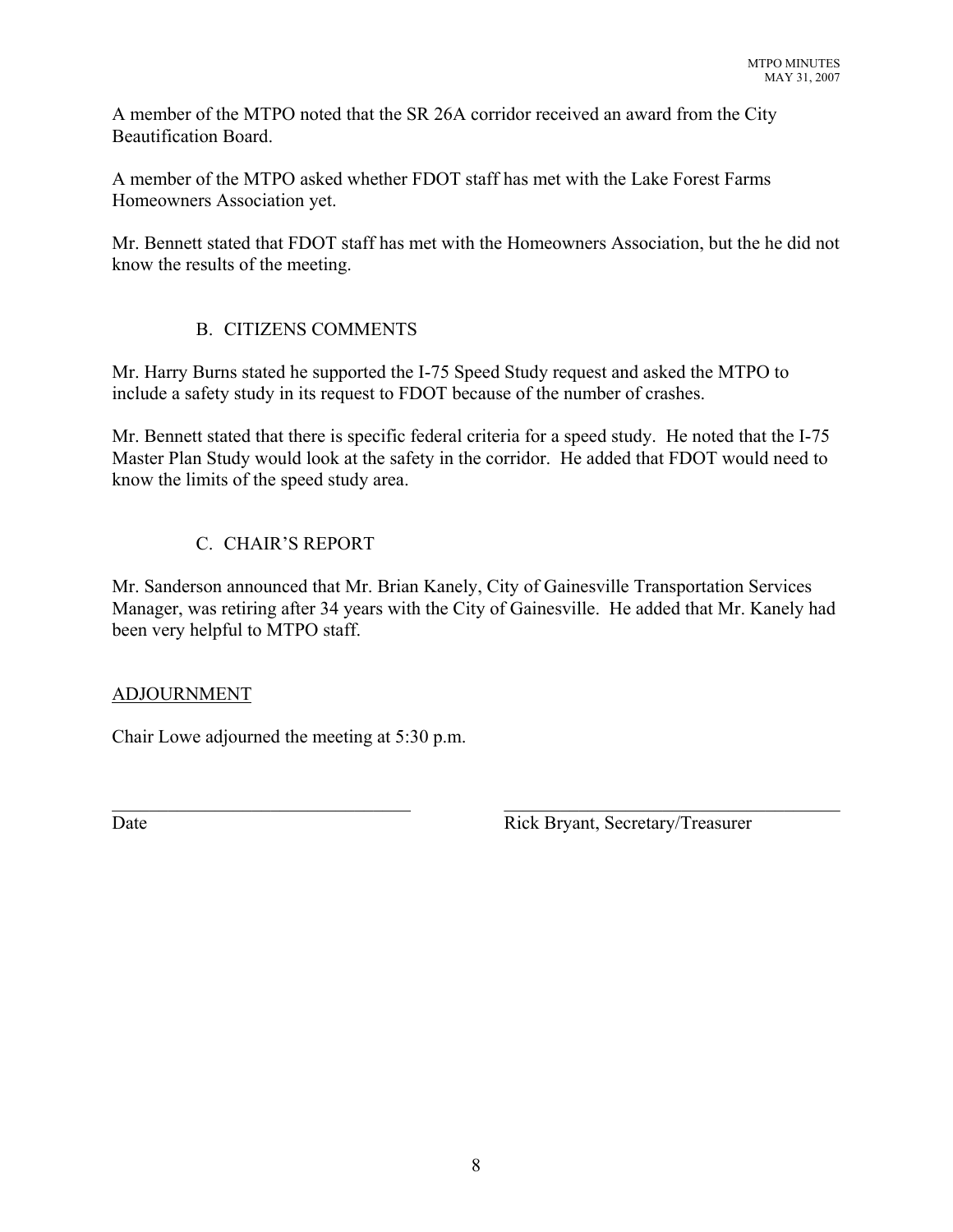A member of the MTPO noted that the SR 26A corridor received an award from the City Beautification Board.

A member of the MTPO asked whether FDOT staff has met with the Lake Forest Farms Homeowners Association yet.

Mr. Bennett stated that FDOT staff has met with the Homeowners Association, but the he did not know the results of the meeting.

# B. CITIZENS COMMENTS

Mr. Harry Burns stated he supported the I-75 Speed Study request and asked the MTPO to include a safety study in its request to FDOT because of the number of crashes.

Mr. Bennett stated that there is specific federal criteria for a speed study. He noted that the I-75 Master Plan Study would look at the safety in the corridor. He added that FDOT would need to know the limits of the speed study area.

# C. CHAIR'S REPORT

Mr. Sanderson announced that Mr. Brian Kanely, City of Gainesville Transportation Services Manager, was retiring after 34 years with the City of Gainesville. He added that Mr. Kanely had been very helpful to MTPO staff.

 $\mathcal{L}_\text{max}$  , and the contribution of the contribution of the contribution of the contribution of the contribution of the contribution of the contribution of the contribution of the contribution of the contribution of t

# ADJOURNMENT

Chair Lowe adjourned the meeting at 5:30 p.m.

Date Rick Bryant, Secretary/Treasurer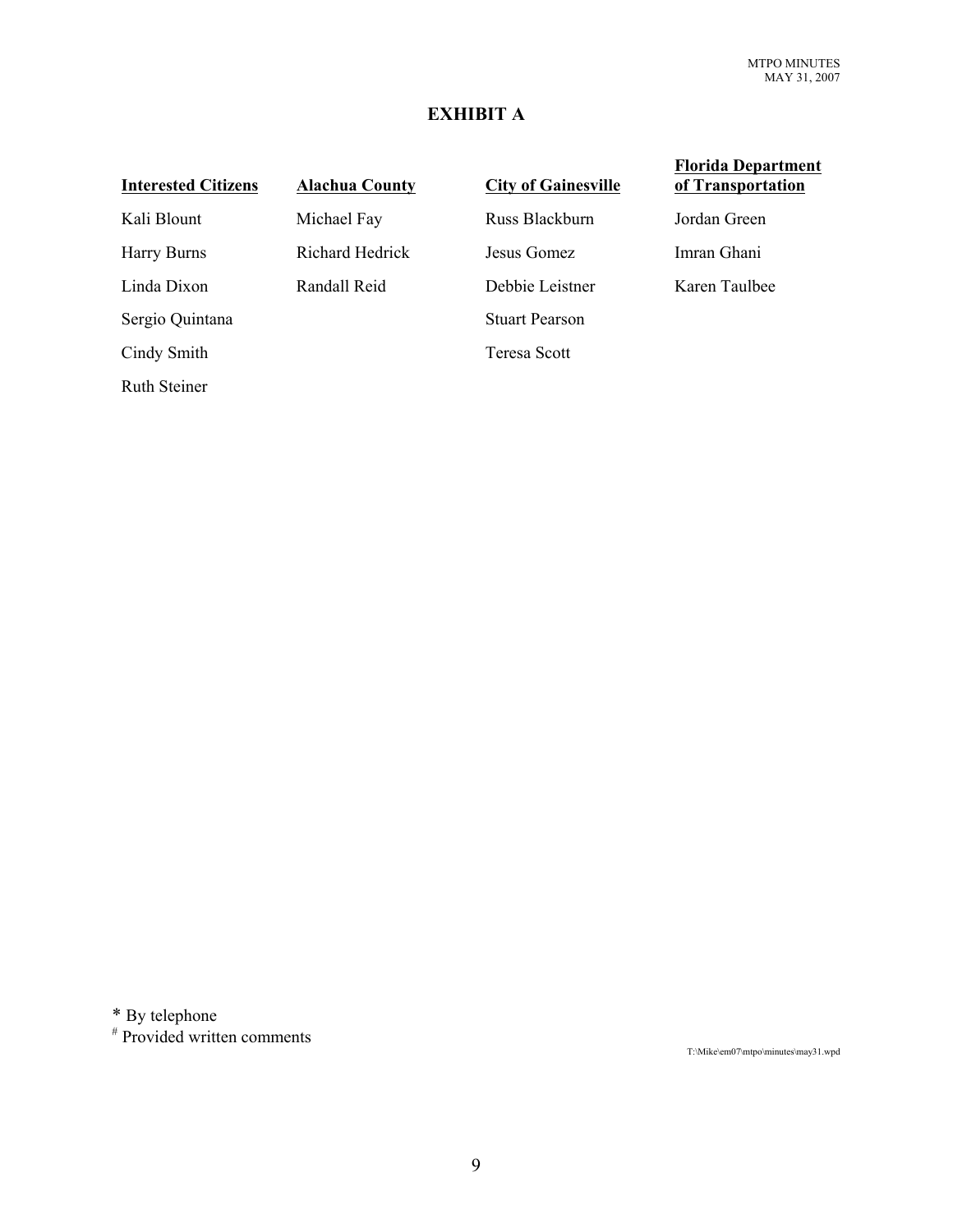## **EXHIBIT A**

#### **Interested Citizens Alachua County City of Gainesville**

Ruth Steiner

Kali Blount Michael Fay Russ Blackburn Jordan Green Harry Burns Richard Hedrick Jesus Gomez Imran Ghani Linda Dixon Randall Reid Debbie Leistner Karen Taulbee Sergio Quintana Stuart Pearson Cindy Smith Teresa Scott

#### **Florida Department of Transportation**

\* By telephone

 $*$  Provided written comments

T:\Mike\em07\mtpo\minutes\may31.wpd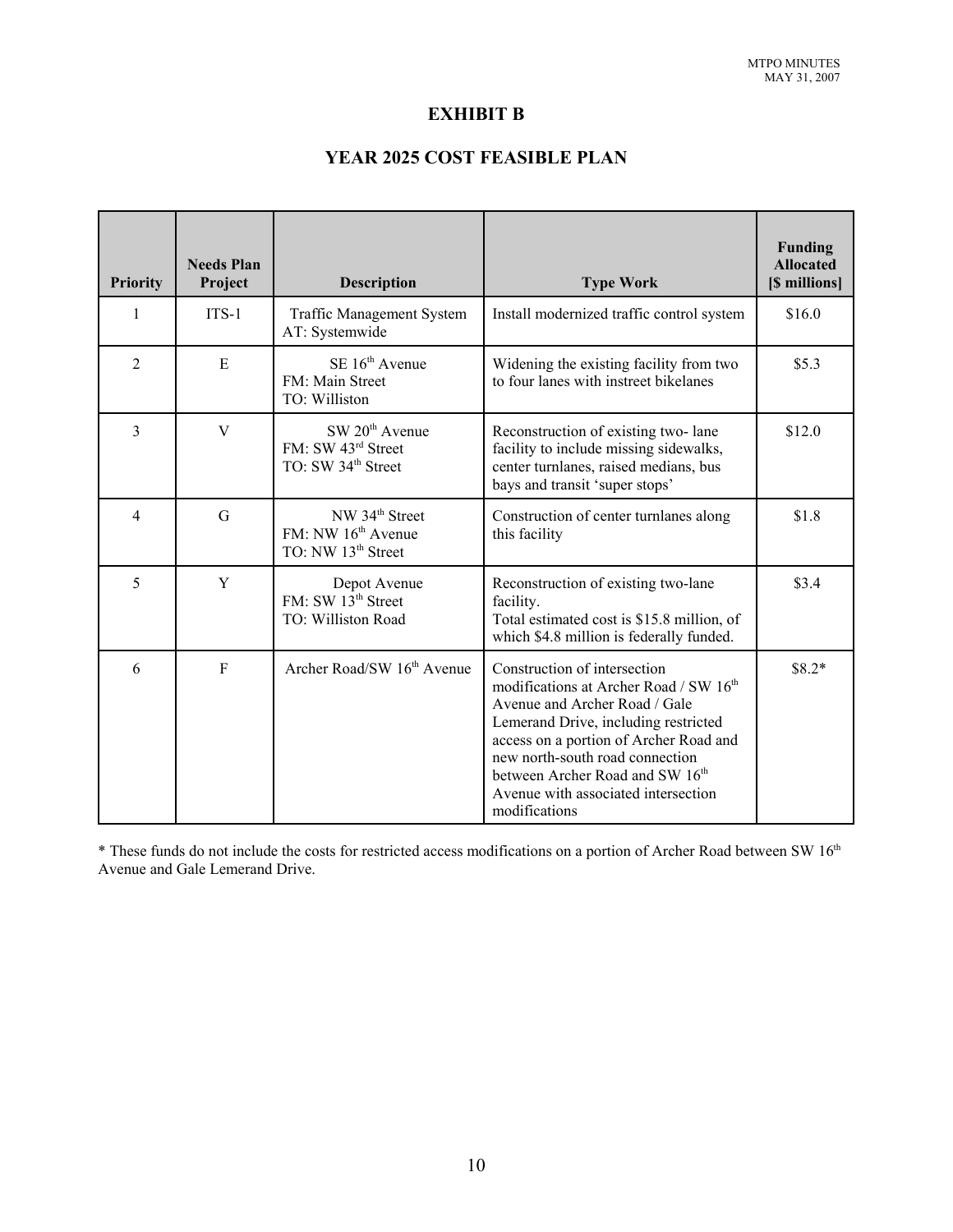### **EXHIBIT B**

# **YEAR 2025 COST FEASIBLE PLAN**

| <b>Priority</b> | <b>Needs Plan</b><br>Project | <b>Description</b>                                                                             | <b>Type Work</b>                                                                                                                                                                                                                                                                                                                    | <b>Funding</b><br><b>Allocated</b><br>[\$ millions] |
|-----------------|------------------------------|------------------------------------------------------------------------------------------------|-------------------------------------------------------------------------------------------------------------------------------------------------------------------------------------------------------------------------------------------------------------------------------------------------------------------------------------|-----------------------------------------------------|
| 1               | $ITS-1$                      | <b>Traffic Management System</b><br>AT: Systemwide                                             | Install modernized traffic control system                                                                                                                                                                                                                                                                                           | \$16.0                                              |
| $\overline{2}$  | E                            | $SE 16th$ Avenue<br>FM: Main Street<br>TO: Williston                                           | Widening the existing facility from two<br>to four lanes with instreet bikelanes                                                                                                                                                                                                                                                    | \$5.3\$                                             |
| $\overline{3}$  | V                            | SW 20 <sup>th</sup> Avenue<br>FM: SW 43rd Street<br>TO: SW 34 <sup>th</sup> Street             | Reconstruction of existing two-lane<br>facility to include missing sidewalks,<br>center turnlanes, raised medians, bus<br>bays and transit 'super stops'                                                                                                                                                                            | \$12.0                                              |
| 4               | G                            | NW 34 <sup>th</sup> Street<br>FM: NW 16 <sup>th</sup> Avenue<br>TO: NW 13 <sup>th</sup> Street | Construction of center turnlanes along<br>this facility                                                                                                                                                                                                                                                                             | \$1.8                                               |
| 5               | Y                            | Depot Avenue<br>FM: SW 13 <sup>th</sup> Street<br>TO: Williston Road                           | Reconstruction of existing two-lane<br>facility.<br>Total estimated cost is \$15.8 million, of<br>which \$4.8 million is federally funded.                                                                                                                                                                                          | \$3.4                                               |
| 6               | $\overline{F}$               | Archer Road/SW 16 <sup>th</sup> Avenue                                                         | Construction of intersection<br>modifications at Archer Road / SW 16 <sup>th</sup><br>Avenue and Archer Road / Gale<br>Lemerand Drive, including restricted<br>access on a portion of Archer Road and<br>new north-south road connection<br>between Archer Road and SW 16th<br>Avenue with associated intersection<br>modifications | $$8.2*$                                             |

\* These funds do not include the costs for restricted access modifications on a portion of Archer Road between SW 16<sup>th</sup> Avenue and Gale Lemerand Drive.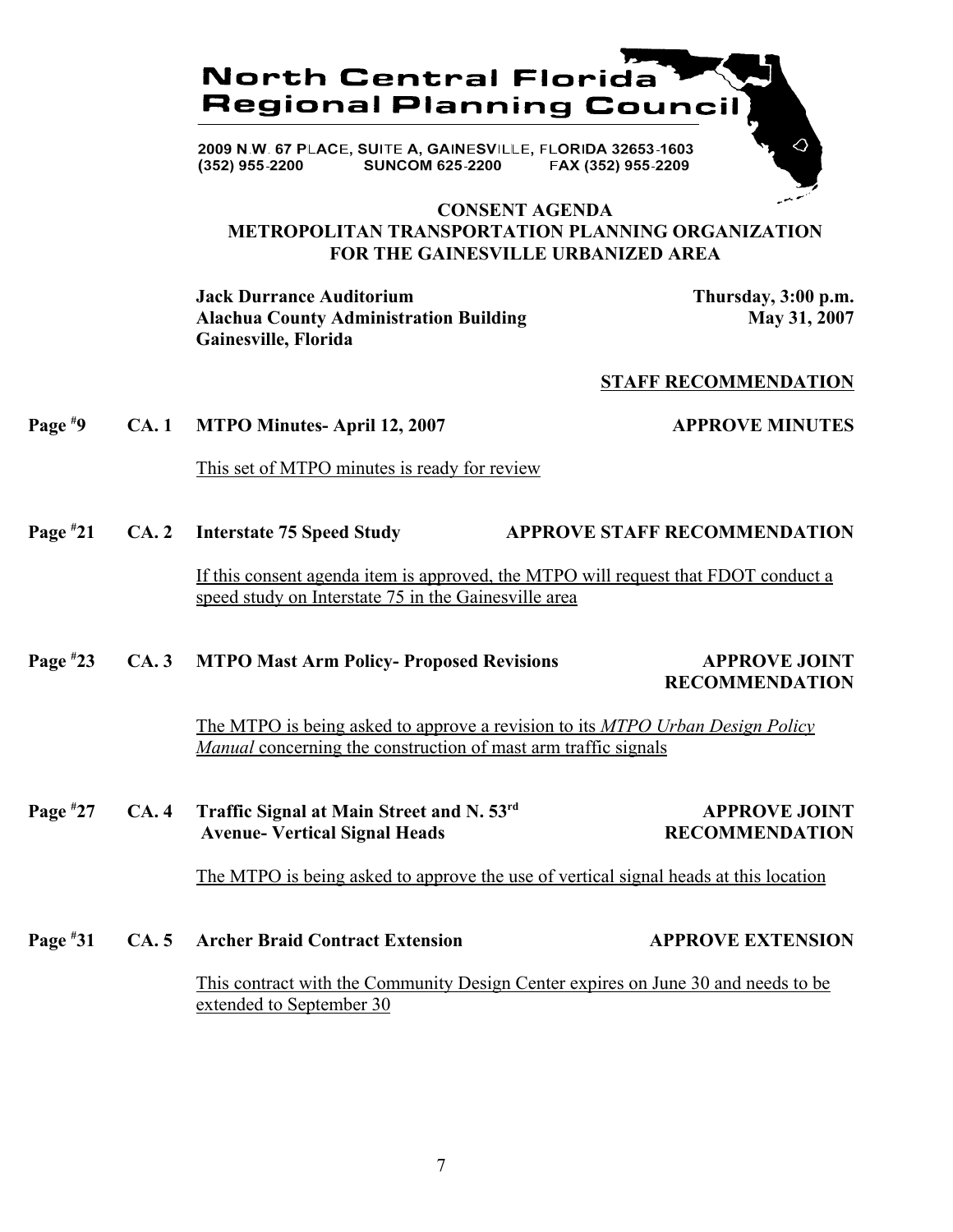

#### **CONSENT AGENDA METROPOLITAN TRANSPORTATION PLANNING ORGANIZATION FOR THE GAINESVILLE URBANIZED AREA**

**Jack Durrance Auditorium Thursday, 3:00 p.m.** Alachua County Administration Building May 31, 2007 **Gainesville, Florida**

#### **STAFF RECOMMENDATION**

#### **Page #** CA. 1 MTPO Minutes- April 12, 2007 **APPROVE MINUTES**

This set of MTPO minutes is ready for review

**Page # 21 CA. 2 Interstate 75 Speed Study APPROVE STAFF RECOMMENDATION**

> If this consent agenda item is approved, the MTPO will request that FDOT conduct a speed study on Interstate 75 in the Gainesville area

#### **Page # 23 CA. 3 MTPO Mast Arm Policy- Proposed Revisions APPROVE JOINT**

# **RECOMMENDATION**

The MTPO is being asked to approve a revision to its *MTPO Urban Design Policy Manual* concerning the construction of mast arm traffic signals

**Page # 27 CA. 4 Traffic Signal at Main Street and N. 53rd APPROVE JOINT Avenue- Vertical Signal Heads RECOMMENDATION** 

The MTPO is being asked to approve the use of vertical signal heads at this location

**Page # 31 CA. 5 Archer Braid Contract Extension APPROVE EXTENSION**

> This contract with the Community Design Center expires on June 30 and needs to be extended to September 30